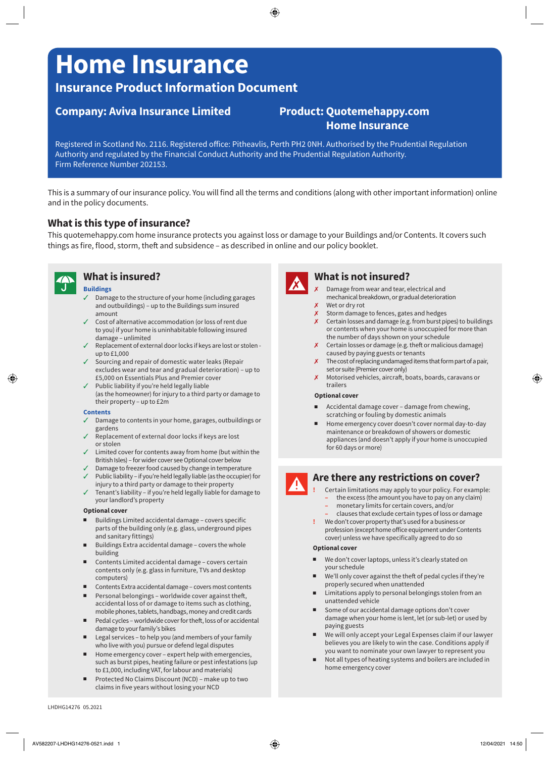# **Home Insurance**

# **Insurance Product Information Document**

# **Company: Aviva Insurance Limited Product: [Quotemehappy.com](http://Quotemehappy.com)**

# **Home Insurance**

Registered in Scotland No. 2116. Registered office: Pitheavlis, Perth PH2 0NH. Authorised by the Prudential Regulation Authority and regulated by the Financial Conduct Authority and the Prudential Regulation Authority. Firm Reference Number 202153.

This is a summary of our insurance policy. You will find all the terms and conditions (along with other important information) online and in the policy documents.

# **What is this type of insurance?**

This [quotemehappy.com](http://quotemehappy.com) home insurance protects you against loss or damage to your Buildings and/or Contents. It covers such things as fire, flood, storm, theft and subsidence – as described in online and our policy booklet.



## **What is insured?**

#### **Buildings**

- 3 Damage to the structure of your home (including garages and outbuildings) – up to the Buildings sum insured amount
- Cost of alternative accommodation (or loss of rent due to you) if your home is uninhabitable following insured damage – unlimited
- $\checkmark$  Replacement of external door locks if keys are lost or stolen up to £1,000
- $\checkmark$  Sourcing and repair of domestic water leaks (Repair excludes wear and tear and gradual deterioration) – up to £5,000 on Essentials Plus and Premier cover
- $\checkmark$  Public liability if you're held legally liable (as the homeowner) for injury to a third party or damage to their property – up to £2m

#### **Contents**

- 3 Damage to contents in your home, garages, outbuildings or gardens
- Replacement of external door locks if keys are lost or stolen
- $\checkmark$  Limited cover for contents away from home (but within the British Isles) – for wider cover see Optional cover below
- Damage to freezer food caused by change in temperature
- $J$  Public liability if you're held legally liable (as the occupier) for injury to a third party or damage to their property
- 3 Tenant's liability if you're held legally liable for damage to your landlord's property

#### **Optional cover**

- Buildings Limited accidental damage covers specific parts of the building only (e.g. glass, underground pipes and sanitary fittings)
- Buildings Extra accidental damage covers the whole building
- Contents Limited accidental damage covers certain contents only (e.g. glass in furniture, TVs and desktop computers)
- Contents Extra accidental damage covers most contents
- Personal belongings worldwide cover against theft, accidental loss of or damage to items such as clothing, mobile phones, tablets, handbags, money and credit cards
- Pedal cycles worldwide cover for theft, loss of or accidental damage to your family's bikes
- Legal services to help you (and members of your family who live with you) pursue or defend legal disputes
- Home emergency cover expert help with emergencies, such as burst pipes, heating failure or pest infestations (up to £1,000, including VAT, for labour and materials)
- Protected No Claims Discount (NCD) make up to two claims in five years without losing your NCD



## **What is not insured?**

- 7 Damage from wear and tear, electrical and mechanical breakdown, or gradual deterioration
- $x$  Wet or dry rot
- X Storm damage to fences, gates and hedges X Certain losses and damage (e.g. from burst pipes) to buildings or contents when your home is unoccupied for more than the number of days shown on your schedule
- $x$  Certain losses or damage (e.g. theft or malicious damage) caused by paying guests or tenants
- $\chi$  The cost of replacing undamaged items that form part of a pair, set or suite (Premier cover only)
- 7 Motorised vehicles, aircraft, boats, boards, caravans or trailers

#### **Optional cover**

- Accidental damage cover damage from chewing, scratching or fouling by domestic animals
- Home emergency cover doesn't cover normal day-to-day maintenance or breakdown of showers or domestic appliances (and doesn't apply if your home is unoccupied for 60 days or more)

# **Are there any restrictions on cover?**

- **!** Certain limitations may apply to your policy. For example:
- **–** the excess (the amount you have to pay on any claim)
	- **–** monetary limits for certain covers, and/or
- **–** clauses that exclude certain types of loss or damage
- **!** We don't cover property that's used for a business or profession (except home office equipment under Contents cover) unless we have specifically agreed to do so

#### **Optional cover**

- We don't cover laptops, unless it's clearly stated on your schedule
- We'll only cover against the theft of pedal cycles if they're properly secured when unattended
- Limitations apply to personal belongings stolen from an unattended vehicle
- Some of our accidental damage options don't cover damage when your home is lent, let (or sub-let) or used by paying guests
- We will only accept your Legal Expenses claim if our lawyer believes you are likely to win the case. Conditions apply if you want to nominate your own lawyer to represent you
- Not all types of heating systems and boilers are included in home emergency cover